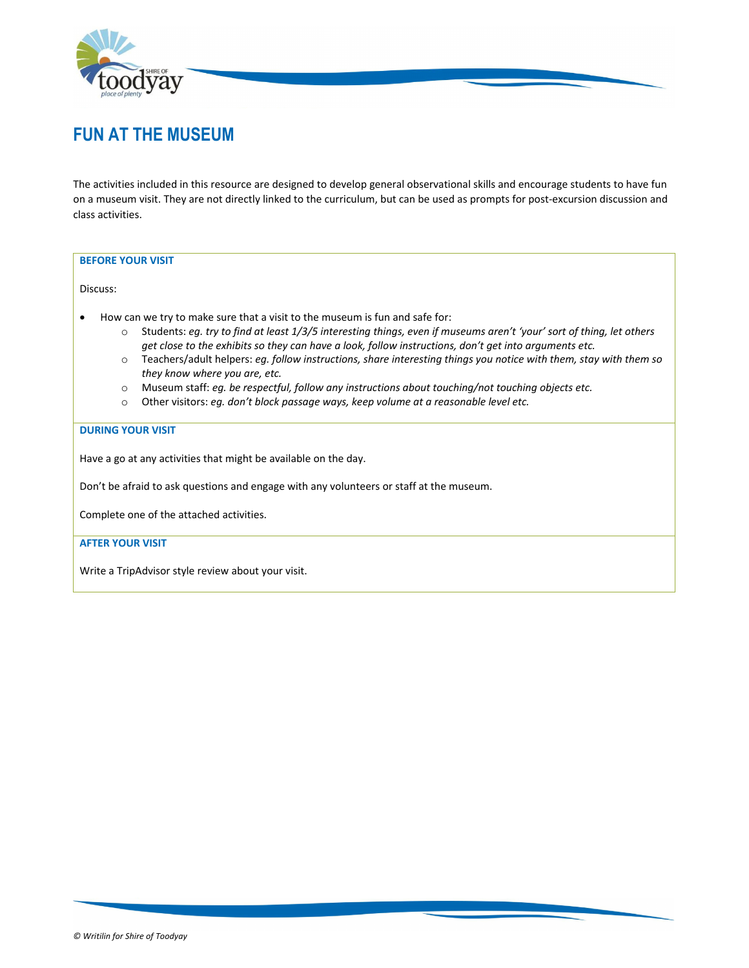

## **FUN AT THE MUSEUM**

The activities included in this resource are designed to develop general observational skills and encourage students to have fun on a museum visit. They are not directly linked to the curriculum, but can be used as prompts for post‐excursion discussion and class activities.

#### **BEFORE YOUR VISIT**

Discuss:

- How can we try to make sure that a visit to the museum is fun and safe for:
	- o Students: *eg. try to find at least 1/3/5 interesting things, even if museums aren't 'your' sort of thing, let others get close to the exhibits so they can have a look, follow instructions, don't get into arguments etc.*
	- o Teachers/adult helpers: *eg. follow instructions, share interesting things you notice with them, stay with them so they know where you are, etc.*
	- o Museum staff: *eg. be respectful, follow any instructions about touching/not touching objects etc.*
	- o Other visitors: *eg. don't block passage ways, keep volume at a reasonable level etc.*

#### **DURING YOUR VISIT**

Have a go at any activities that might be available on the day.

Don't be afraid to ask questions and engage with any volunteers or staff at the museum.

Complete one of the attached activities.

#### **AFTER YOUR VISIT**

Write a TripAdvisor style review about your visit.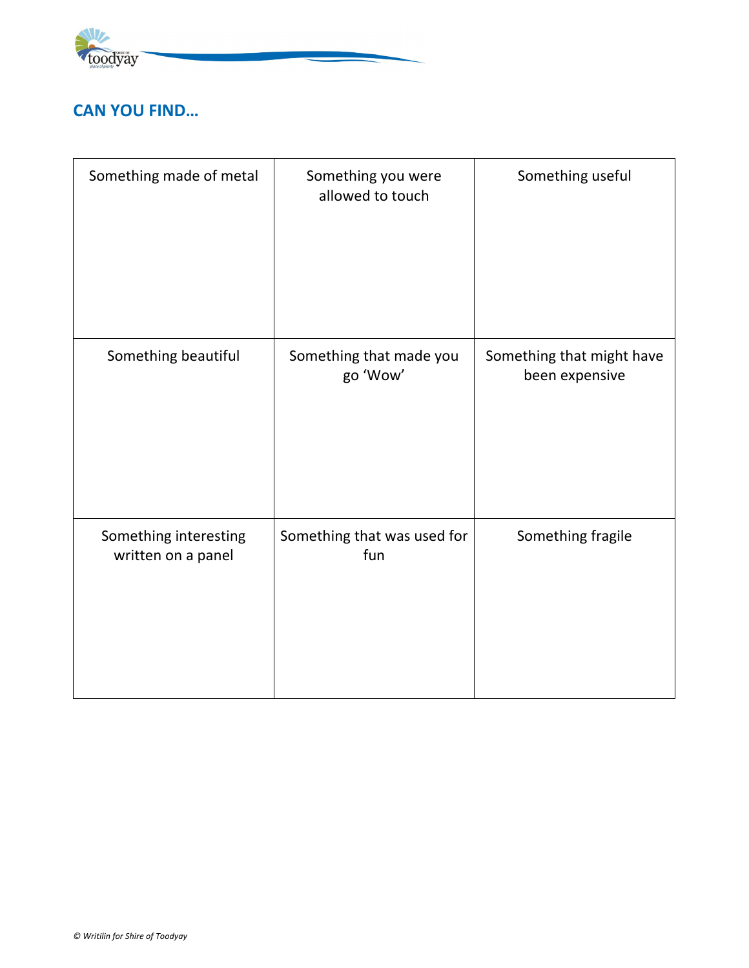

### **CAN YOU FIND…**

| Something made of metal                     | Something you were<br>allowed to touch | Something useful                            |
|---------------------------------------------|----------------------------------------|---------------------------------------------|
| Something beautiful                         | Something that made you<br>go 'Wow'    | Something that might have<br>been expensive |
| Something interesting<br>written on a panel | Something that was used for<br>fun     | Something fragile                           |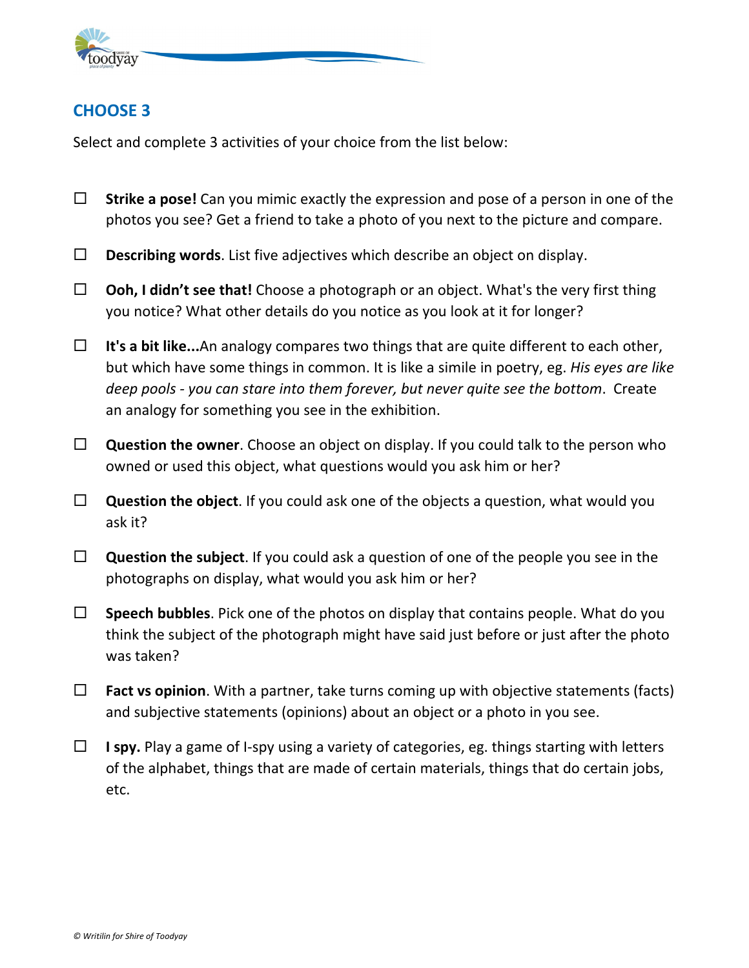

### **CHOOSE 3**

Select and complete 3 activities of your choice from the list below:

- **Strike a pose!** Can you mimic exactly the expression and pose of a person in one of the photos you see? Get a friend to take a photo of you next to the picture and compare.
- **Describing words**. List five adjectives which describe an object on display.
- **Ooh, I didn't see that!** Choose a photograph or an object. What's the very first thing you notice? What other details do you notice as you look at it for longer?
- **It's a bit like...**An analogy compares two things that are quite different to each other, but which have some things in common. It is like a simile in poetry, eg. *His eyes are like deep pools ‐ you can stare into them forever, but never quite see the bottom*. Create an analogy for something you see in the exhibition.
- **Question the owner**. Choose an object on display. If you could talk to the person who owned or used this object, what questions would you ask him or her?
- **Question the object**. If you could ask one of the objects a question, what would you ask it?
- **Question the subject**. If you could ask a question of one of the people you see in the photographs on display, what would you ask him or her?
- **Speech bubbles**. Pick one of the photos on display that contains people. What do you think the subject of the photograph might have said just before or just after the photo was taken?
- **Fact vs opinion**. With a partner, take turns coming up with objective statements (facts) and subjective statements (opinions) about an object or a photo in you see.
- **I spy.** Play a game of I‐spy using a variety of categories, eg. things starting with letters of the alphabet, things that are made of certain materials, things that do certain jobs, etc.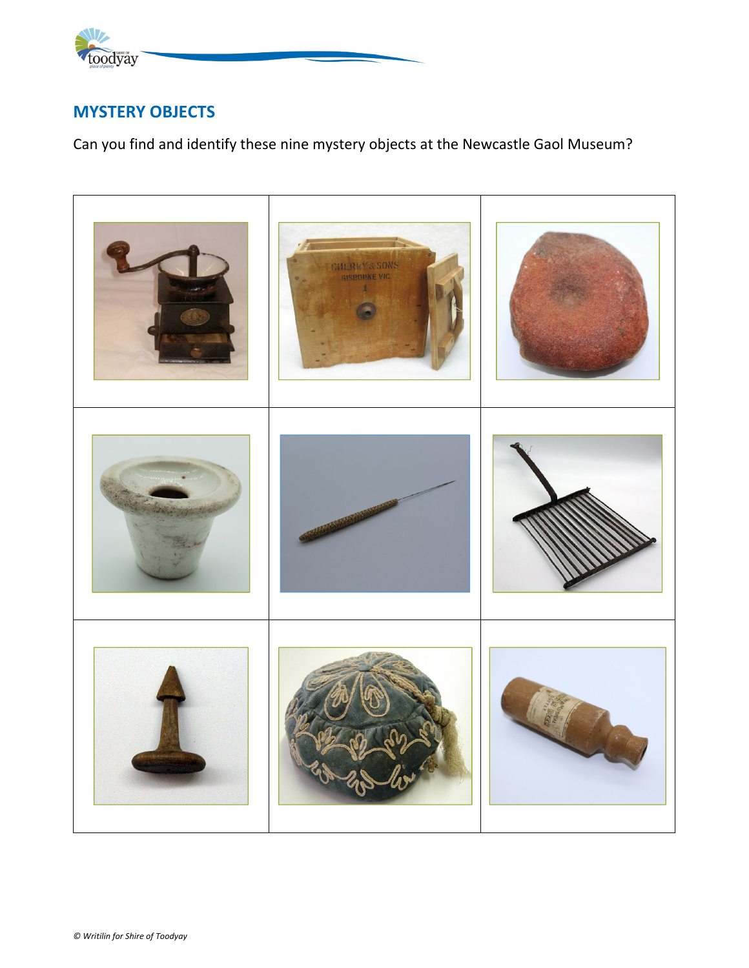

### **MYSTERY OBJECTS**

Can you find and identify these nine mystery objects at the Newcastle Gaol Museum?